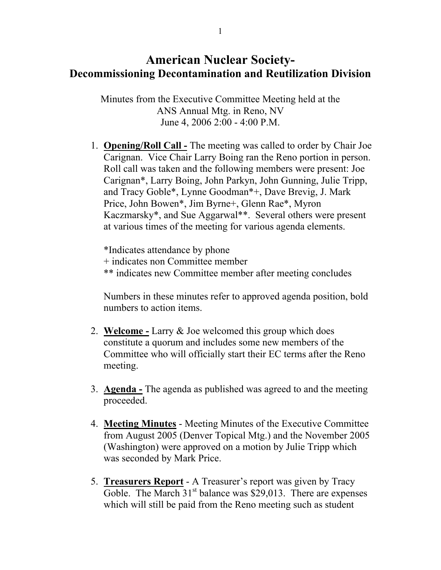## American Nuclear Society-Decommissioning Decontamination and Reutilization Division

Minutes from the Executive Committee Meeting held at the ANS Annual Mtg. in Reno, NV June 4, 2006 2:00 - 4:00 P.M.

1. Opening/Roll Call - The meeting was called to order by Chair Joe Carignan. Vice Chair Larry Boing ran the Reno portion in person. Roll call was taken and the following members were present: Joe Carignan\*, Larry Boing, John Parkyn, John Gunning, Julie Tripp, and Tracy Goble\*, Lynne Goodman\*+, Dave Brevig, J. Mark Price, John Bowen\*, Jim Byrne+, Glenn Rae\*, Myron Kaczmarsky\*, and Sue Aggarwal\*\*. Several others were present at various times of the meeting for various agenda elements.

\*Indicates attendance by phone + indicates non Committee member \*\* indicates new Committee member after meeting concludes

Numbers in these minutes refer to approved agenda position, bold numbers to action items.

- 2. Welcome Larry & Joe welcomed this group which does constitute a quorum and includes some new members of the Committee who will officially start their EC terms after the Reno meeting.
- 3. Agenda The agenda as published was agreed to and the meeting proceeded.
- 4. Meeting Minutes Meeting Minutes of the Executive Committee from August 2005 (Denver Topical Mtg.) and the November 2005 (Washington) were approved on a motion by Julie Tripp which was seconded by Mark Price.
- 5. Treasurers Report A Treasurer's report was given by Tracy Goble. The March  $31<sup>st</sup>$  balance was \$29,013. There are expenses which will still be paid from the Reno meeting such as student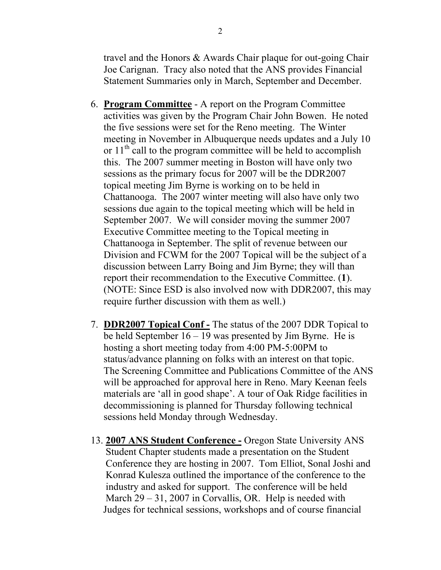travel and the Honors & Awards Chair plaque for out-going Chair Joe Carignan. Tracy also noted that the ANS provides Financial Statement Summaries only in March, September and December.

- 6. Program Committee A report on the Program Committee activities was given by the Program Chair John Bowen. He noted the five sessions were set for the Reno meeting. The Winter meeting in November in Albuquerque needs updates and a July 10 or  $11<sup>th</sup>$  call to the program committee will be held to accomplish this. The 2007 summer meeting in Boston will have only two sessions as the primary focus for 2007 will be the DDR2007 topical meeting Jim Byrne is working on to be held in Chattanooga. The 2007 winter meeting will also have only two sessions due again to the topical meeting which will be held in September 2007. We will consider moving the summer 2007 Executive Committee meeting to the Topical meeting in Chattanooga in September. The split of revenue between our Division and FCWM for the 2007 Topical will be the subject of a discussion between Larry Boing and Jim Byrne; they will than report their recommendation to the Executive Committee. (1). (NOTE: Since ESD is also involved now with DDR2007, this may require further discussion with them as well.)
- 7. DDR2007 Topical Conf The status of the 2007 DDR Topical to be held September 16 – 19 was presented by Jim Byrne. He is hosting a short meeting today from 4:00 PM-5:00PM to status/advance planning on folks with an interest on that topic. The Screening Committee and Publications Committee of the ANS will be approached for approval here in Reno. Mary Keenan feels materials are 'all in good shape'. A tour of Oak Ridge facilities in decommissioning is planned for Thursday following technical sessions held Monday through Wednesday.
- 13. 2007 ANS Student Conference Oregon State University ANS Student Chapter students made a presentation on the Student Conference they are hosting in 2007. Tom Elliot, Sonal Joshi and Konrad Kulesza outlined the importance of the conference to the industry and asked for support. The conference will be held March 29 – 31, 2007 in Corvallis, OR. Help is needed with Judges for technical sessions, workshops and of course financial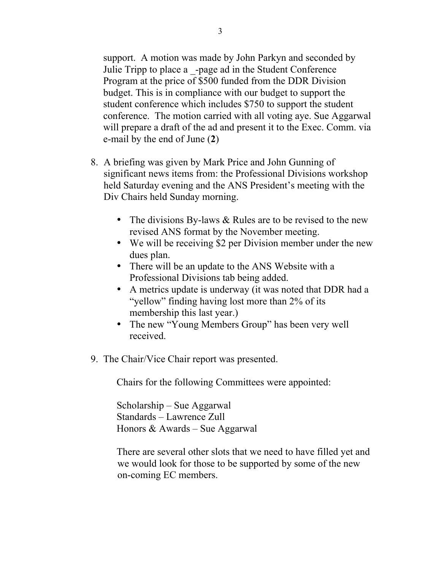support. A motion was made by John Parkyn and seconded by Julie Tripp to place a \_-page ad in the Student Conference Program at the price of \$500 funded from the DDR Division budget. This is in compliance with our budget to support the student conference which includes \$750 to support the student conference. The motion carried with all voting aye. Sue Aggarwal will prepare a draft of the ad and present it to the Exec. Comm. via e-mail by the end of June (2)

- 8. A briefing was given by Mark Price and John Gunning of significant news items from: the Professional Divisions workshop held Saturday evening and the ANS President's meeting with the Div Chairs held Sunday morning.
	- The divisions By-laws & Rules are to be revised to the new revised ANS format by the November meeting.
	- We will be receiving \$2 per Division member under the new dues plan.
	- There will be an update to the ANS Website with a Professional Divisions tab being added.
	- A metrics update is underway (it was noted that DDR had a "yellow" finding having lost more than 2% of its membership this last year.)
	- The new "Young Members Group" has been very well received.
- 9. The Chair/Vice Chair report was presented.

Chairs for the following Committees were appointed:

Scholarship – Sue Aggarwal Standards – Lawrence Zull Honors & Awards – Sue Aggarwal

There are several other slots that we need to have filled yet and we would look for those to be supported by some of the new on-coming EC members.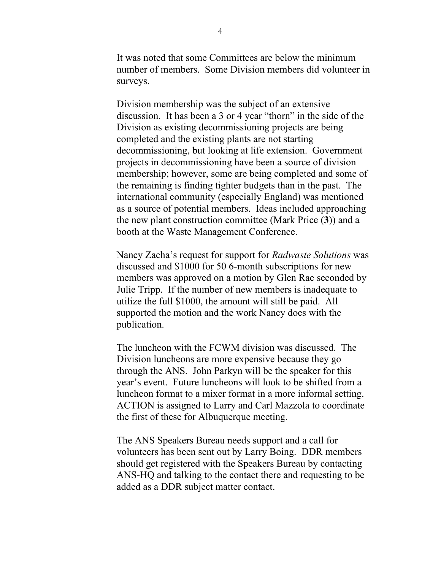It was noted that some Committees are below the minimum number of members. Some Division members did volunteer in surveys.

Division membership was the subject of an extensive discussion. It has been a 3 or 4 year "thorn" in the side of the Division as existing decommissioning projects are being completed and the existing plants are not starting decommissioning, but looking at life extension. Government projects in decommissioning have been a source of division membership; however, some are being completed and some of the remaining is finding tighter budgets than in the past. The international community (especially England) was mentioned as a source of potential members. Ideas included approaching the new plant construction committee (Mark Price (3)) and a booth at the Waste Management Conference.

Nancy Zacha's request for support for *Radwaste Solutions* was discussed and \$1000 for 50 6-month subscriptions for new members was approved on a motion by Glen Rae seconded by Julie Tripp. If the number of new members is inadequate to utilize the full \$1000, the amount will still be paid. All supported the motion and the work Nancy does with the publication.

The luncheon with the FCWM division was discussed. The Division luncheons are more expensive because they go through the ANS. John Parkyn will be the speaker for this year's event. Future luncheons will look to be shifted from a luncheon format to a mixer format in a more informal setting. ACTION is assigned to Larry and Carl Mazzola to coordinate the first of these for Albuquerque meeting.

The ANS Speakers Bureau needs support and a call for volunteers has been sent out by Larry Boing. DDR members should get registered with the Speakers Bureau by contacting ANS-HQ and talking to the contact there and requesting to be added as a DDR subject matter contact.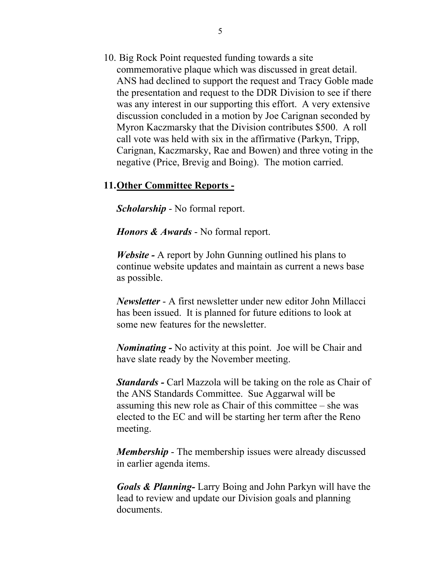10. Big Rock Point requested funding towards a site commemorative plaque which was discussed in great detail. ANS had declined to support the request and Tracy Goble made the presentation and request to the DDR Division to see if there was any interest in our supporting this effort. A very extensive discussion concluded in a motion by Joe Carignan seconded by Myron Kaczmarsky that the Division contributes \$500. A roll call vote was held with six in the affirmative (Parkyn, Tripp, Carignan, Kaczmarsky, Rae and Bowen) and three voting in the negative (Price, Brevig and Boing). The motion carried.

## 11.Other Committee Reports -

*Scholarship* - No formal report.

*Honors & Awards* - No formal report.

*Website -* A report by John Gunning outlined his plans to continue website updates and maintain as current a news base as possible.

*Newsletter* - A first newsletter under new editor John Millacci has been issued. It is planned for future editions to look at some new features for the newsletter.

*Nominating -* No activity at this point. Joe will be Chair and have slate ready by the November meeting.

*Standards -* Carl Mazzola will be taking on the role as Chair of the ANS Standards Committee. Sue Aggarwal will be assuming this new role as Chair of this committee – she was elected to the EC and will be starting her term after the Reno meeting.

*Membership* - The membership issues were already discussed in earlier agenda items.

*Goals & Planning-* Larry Boing and John Parkyn will have the lead to review and update our Division goals and planning documents.